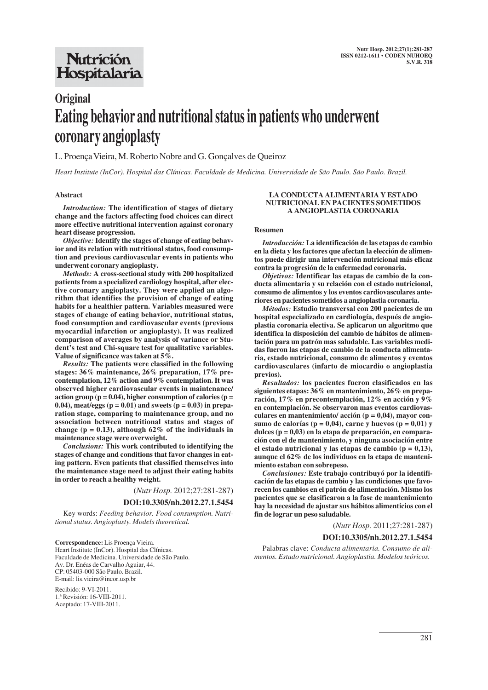# **Nutrición** Hospitalaria

# **Original Eating behavior and nutritional status in patients who underwent coronary angioplasty**

L. Proença Vieira, M. Roberto Nobre and G. Gonçalves de Queiroz

*Heart Institute (InCor). Hospital das Clínicas. Faculdade de Medicina. Universidade de São Paulo. São Paulo. Brazil.*

#### **Abstract**

*Introduction:* **The identification of stages of dietary change and the factors affecting food choices can direct more effective nutritional intervention against coronary heart disease progression.**

*Objective:***Identify the stages of change of eating behavior and its relation with nutritional status, food consumption and previous cardiovascular events in patients who underwent coronary angioplasty.**

*Methods:* **A cross-sectional study with 200 hospitalized patients from a specialized cardiology hospital, after elective coronary angioplasty. They were applied an algorithm that identifies the provision of change of eating habits for a healthier pattern. Variables measured were stages of change of eating behavior, nutritional status, food consumption and cardiovascular events (previous myocardial infarction or angioplasty). It was realized comparison of averages by analysis of variance or Student's test and Chi-square test for qualitative variables. Value of significance was taken at 5%.**

*Results:* **The patients were classified in the following stages: 36% maintenance, 26% preparation, 17% precontemplation, 12% action and 9% contemplation. It was observed higher cardiovascular events in maintenance/ action group (p = 0.04), higher consumption of calories (p = 0.04), meat/eggs (p = 0.01) and sweets (p = 0.03) in preparation stage, comparing to maintenance group, and no association between nutritional status and stages of change (p = 0.13), although 62% of the individuals in maintenance stage were overweight.**

*Conclusions:* **This work contributed to identifying the stages of change and conditions that favor changes in eating pattern. Even patients that classified themselves into the maintenance stage need to adjust their eating habits in order to reach a healthy weight.**

(*Nutr Hosp.* 2012;27:281-287)

#### **DOI:10.3305/nh.2012.27.1.5454**

Key words: *Feeding behavior. Food consumption. Nutritional status. Angioplasty. Models theoretical.*

**Correspondence:** Lis Proença Vieira. Heart Institute (InCor). Hospital das Clínicas. Faculdade de Medicina. Universidade de São Paulo. Av. Dr. Enéas de Carvalho Aguiar, 44. CP: 05403-000 São Paulo. Brazil. E-mail: lis.vieira@incor.usp.br

Recibido: 9-VI-2011. 1.ª Revisión: 16-VIII-2011. Aceptado: 17-VIII-2011.

#### **LA CONDUCTA ALIMENTARIA Y ESTADO NUTRICIONAL EN PACIENTES SOMETIDOS A ANGIOPLASTIA CORONARIA**

#### **Resumen**

*Introducción:* **La identificación de las etapas de cambio en la dieta y los factores que afectan la elección de alimentos puede dirigir una intervención nutricional más eficaz contra la progresión de la enfermedad coronaria.**

*Objetivos:* **Identificar las etapas de cambio de la conducta alimentaria y su relación con el estado nutricional, consumo de alimentos y los eventos cardiovasculares anteriores en pacientes sometidos a angioplastia coronaria.**

*Métodos:* **Estudio transversal con 200 pacientes de un hospital especializado en cardiología, después de angioplastia coronaria electiva. Se aplicaron un algoritmo que identifica la disposición del cambio de hábitos de alimentación para un patrón mas saludable. Las variables medidas fueron las etapas de cambio de la conducta alimentaria, estado nutricional, consumo de alimentos y eventos cardiovasculares (infarto de miocardio o angioplastia previos).**

*Resultados:* **los pacientes fueron clasificados en las siguientes etapas: 36% en mantenimiento, 26% en preparación, 17% en precontemplación, 12% en acción y 9% en contemplación. Se observaron mas eventos cardiovasculares en mantenimiento/ acción (p = 0,04), mayor consumo de calorías (p = 0,04), carne y huevos (p = 0,01) y dulces (p = 0,03) en la etapa de preparación, en comparación con el de mantenimiento, y ninguna asociación entre el estado nutricional y las etapas de cambio (p = 0,13), aunque el 62% de los individuos en la etapa de mantenimiento estaban con sobrepeso.**

*Conclusiones:* **Este trabajo contribuyó por la identificación de las etapas de cambio y las condiciones que favorecen los cambios en el patrón de alimentación. Mismo los pacientes que se clasificaron a la fase de mantenimiento hay la necesidad de ajustar sus hábitos alimenticios con el fin de lograr un peso saludable.**

(*Nutr Hosp.* 2011;27:281-287)

#### **DOI:10.3305/nh.2012.27.1.5454**

Palabras clave: *Conducta alimentaria. Consumo de alimentos. Estado nutricional. Angioplastia. Modelos teóricos.*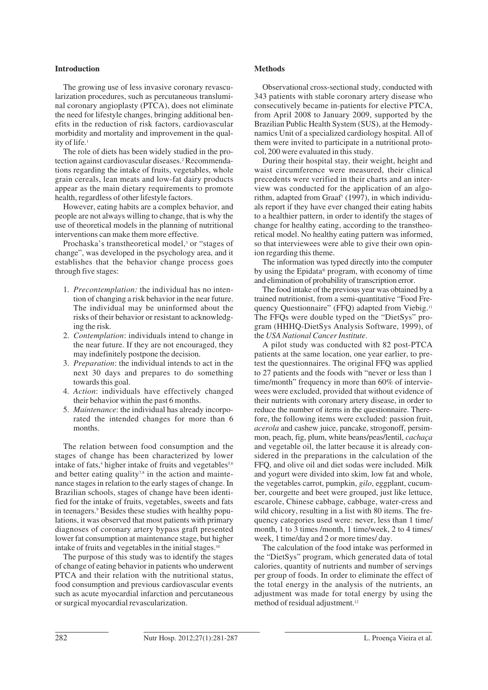## **Introduction**

The growing use of less invasive coronary revascularization procedures, such as percutaneous transluminal coronary angioplasty (PTCA), does not eliminate the need for lifestyle changes, bringing additional benefits in the reduction of risk factors, cardiovascular morbidity and mortality and improvement in the quality of life.<sup>1</sup>

The role of diets has been widely studied in the protection against cardiovascular diseases.<sup>2</sup> Recommendations regarding the intake of fruits, vegetables, whole grain cereals, lean meats and low-fat dairy products appear as the main dietary requirements to promote health, regardless of other lifestyle factors.

However, eating habits are a complex behavior, and people are not always willing to change, that is why the use of theoretical models in the planning of nutritional interventions can make them more effective.

Prochaska's transtheoretical model,<sup>3</sup> or "stages of change", was developed in the psychology area, and it establishes that the behavior change process goes through five stages:

- 1. *Precontemplation:* the individual has no intention of changing a risk behavior in the near future. The individual may be uninformed about the risks of their behavior or resistant to acknowledging the risk.
- 2. *Contemplation*: individuals intend to change in the near future. If they are not encouraged, they may indefinitely postpone the decision.
- 3. *Preparation*: the individual intends to act in the next 30 days and prepares to do something towards this goal.
- 4. *Action*: individuals have effectively changed their behavior within the past 6 months.
- 5. *Maintenance*: the individual has already incorporated the intended changes for more than 6 months.

The relation between food consumption and the stages of change has been characterized by lower intake of fats,<sup>4</sup> higher intake of fruits and vegetables<sup>5,6</sup> and better eating quality<sup>7,8</sup> in the action and maintenance stages in relation to the early stages of change. In Brazilian schools, stages of change have been identified for the intake of fruits, vegetables, sweets and fats in teenagers.<sup>9</sup> Besides these studies with healthy populations, it was observed that most patients with primary diagnoses of coronary artery bypass graft presented lower fat consumption at maintenance stage, but higher intake of fruits and vegetables in the initial stages.<sup>10</sup>

The purpose of this study was to identify the stages of change of eating behavior in patients who underwent PTCA and their relation with the nutritional status, food consumption and previous cardiovascular events such as acute myocardial infarction and percutaneous or surgical myocardial revascularization.

#### **Methods**

Observational cross-sectional study, conducted with 343 patients with stable coronary artery disease who consecutively became in-patients for elective PTCA, from April 2008 to January 2009, supported by the Brazilian Public Health System (SUS), at the Hemodynamics Unit of a specialized cardiology hospital. All of them were invited to participate in a nutritional protocol, 200 were evaluated in this study.

During their hospital stay, their weight, height and waist circumference were measured, their clinical precedents were verified in their charts and an interview was conducted for the application of an algorithm, adapted from Graaf<sup>7</sup> (1997), in which individuals report if they have ever changed their eating habits to a healthier pattern, in order to identify the stages of change for healthy eating, according to the transtheoretical model. No healthy eating pattern was informed, so that interviewees were able to give their own opinion regarding this theme.

The information was typed directly into the computer by using the Epidata® program, with economy of time and elimination of probability of transcription error.

The food intake of the previous year was obtained by a trained nutritionist, from a semi-quantitative "Food Frequency Questionnaire" (FFQ) adapted from Viebig.<sup>11</sup> The FFQs were double typed on the "DietSys" program (HHHQ-DietSys Analysis Software, 1999), of the *USA National Cancer Institute*.

A pilot study was conducted with 82 post-PTCA patients at the same location, one year earlier, to pretest the questionnaires. The original FFQ was applied to 27 patients and the foods with "never or less than 1 time/month" frequency in more than 60% of interviewees were excluded, provided that without evidence of their nutrients with coronary artery disease, in order to reduce the number of items in the questionnaire. Therefore, the following items were excluded: passion fruit, *acerola* and cashew juice, pancake, strogonoff, persimmon, peach, fig, plum, white beans/peas/lentil, *cachaça* and vegetable oil, the latter because it is already considered in the preparations in the calculation of the FFQ, and olive oil and diet sodas were included. Milk and yogurt were divided into skim, low fat and whole, the vegetables carrot, pumpkin, *gilo*, eggplant, cucumber, courgette and beet were grouped, just like lettuce, escarole, Chinese cabbage, cabbage, water-cress and wild chicory, resulting in a list with 80 items. The frequency categories used were: never, less than 1 time/ month, 1 to 3 times /month, 1 time/week, 2 to 4 times/ week, 1 time/day and 2 or more times/ day.

The calculation of the food intake was performed in the "DietSys" program, which generated data of total calories, quantity of nutrients and number of servings per group of foods. In order to eliminate the effect of the total energy in the analysis of the nutrients, an adjustment was made for total energy by using the method of residual adjustment.<sup>12</sup>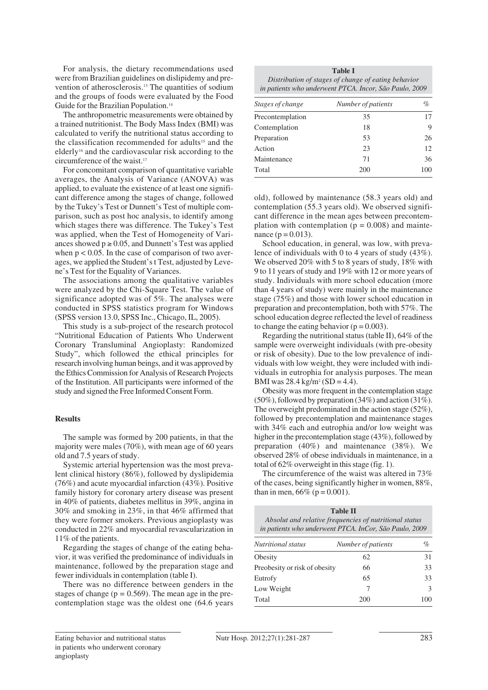For analysis, the dietary recommendations used were from Brazilian guidelines on dislipidemy and prevention of atherosclerosis.13 The quantities of sodium and the groups of foods were evaluated by the Food Guide for the Brazilian Population.<sup>14</sup>

The anthropometric measurements were obtained by a trained nutritionist. The Body Mass Index (BMI) was calculated to verify the nutritional status according to the classification recommended for adults<sup>15</sup> and the elderly16 and the cardiovascular risk according to the circumference of the waist.<sup>17</sup>

For concomitant comparison of quantitative variable averages, the Analysis of Variance (ANOVA) was applied, to evaluate the existence of at least one significant difference among the stages of change, followed by the Tukey's Test or Dunnett's Test of multiple comparison, such as post hoc analysis, to identify among which stages there was difference. The Tukey's Test was applied, when the Test of Homogeneity of Variances showed  $p \ge 0.05$ , and Dunnett's Test was applied when  $p < 0.05$ . In the case of comparison of two averages, we applied the Student's t Test, adjusted by Leve ne's Test for the Equality of Variances.

The associations among the qualitative variables were analyzed by the Chi-Square Test. The value of significance adopted was of 5%. The analyses were conducted in SPSS statistics program for Windows (SPSS version 13.0, SPSS Inc., Chicago, IL, 2005).

This study is a sub-project of the research protocol "Nutritional Education of Patients Who Underwent Coronary Transluminal Angioplasty: Randomized Study", which followed the ethical principles for research involving human beings, and it was approved by the Ethics Commission for Analysis of Research Projects of the Institution. All participants were informed of the study and signed the Free Informed Consent Form.

# **Results**

The sample was formed by 200 patients, in that the majority were males (70%), with mean age of 60 years old and 7.5 years of study.

Systemic arterial hypertension was the most prevalent clinical history (86%), followed by dyslipidemia (76%) and acute myocardial infarction (43%). Positive family history for coronary artery disease was present in 40% of patients, diabetes mellitus in 39%, angina in 30% and smoking in 23%, in that 46% affirmed that they were former smokers. Previous angioplasty was conducted in 22% and myocardial revascularization in 11% of the patients.

Regarding the stages of change of the eating beha vior, it was verified the predominance of individuals in maintenance, followed by the preparation stage and fewer individuals in contemplation (table I).

There was no difference between genders in the stages of change ( $p = 0.569$ ). The mean age in the precontemplation stage was the oldest one (64.6 years

| <b>Table I</b>                                         |  |  |  |  |
|--------------------------------------------------------|--|--|--|--|
| Distribution of stages of change of eating behavior    |  |  |  |  |
| in patients who underwent PTCA. Incor, São Paulo, 2009 |  |  |  |  |

| Stages of change | Number of patients | $\%$ |  |
|------------------|--------------------|------|--|
| Precontemplation | 35                 |      |  |
| Contemplation    | 18                 | 9    |  |
| Preparation      | 53                 | 26   |  |
| Action           | 23                 | 12.  |  |
| Maintenance      | 71                 | 36   |  |
| Total            | 200                | 100  |  |

old), followed by maintenance (58.3 years old) and contemplation (55.3 years old). We observed significant difference in the mean ages between precontemplation with contemplation  $(p = 0.008)$  and maintenance ( $p = 0.013$ ).

School education, in general, was low, with prevalence of individuals with 0 to 4 years of study (43%). We observed 20% with 5 to 8 years of study, 18% with 9 to 11 years of study and 19% with 12 or more years of study. Individuals with more school education (more than 4 years of study) were mainly in the maintenance stage (75%) and those with lower school education in preparation and precontemplation, both with 57%. The school education degree reflected the level of readiness to change the eating behavior ( $p = 0.003$ ).

Regarding the nutritional status (table II),  $64\%$  of the sample were overweight individuals (with pre-obesity or risk of obesity). Due to the low prevalence of individuals with low weight, they were included with individuals in eutrophia for analysis purposes. The mean BMI was  $28.4 \text{ kg/m}^2 \text{ (SD = 4.4)}$ .

Obesity was more frequent in the contemplation stage (50%), followed by preparation (34%) and action (31%). The overweight predominated in the action stage (52%), followed by precontemplation and maintenance stages with 34% each and eutrophia and/or low weight was higher in the precontemplation stage (43%), followed by preparation (40%) and maintenance (38%). We observed 28% of obese individuals in maintenance, in a total of 62% overweight in this stage (fig. 1).

The circumference of the waist was altered in 73% of the cases, being significantly higher in women, 88%, than in men,  $66\%$  (p = 0.001).

| <b>Table II</b><br>Absolut and relative frequencies of nutritional status<br>in patients who underwent PTCA. InCor, São Paulo, 2009 |                    |    |  |  |  |
|-------------------------------------------------------------------------------------------------------------------------------------|--------------------|----|--|--|--|
| Nutritional status                                                                                                                  | Number of patients | %  |  |  |  |
| Obesity                                                                                                                             | 62                 | 31 |  |  |  |
| Preobesity or risk of obesity                                                                                                       | 66                 | 33 |  |  |  |
| Eutrofy                                                                                                                             | 65                 | 33 |  |  |  |
| Low Weight                                                                                                                          | 7                  | 3  |  |  |  |
| Total                                                                                                                               |                    |    |  |  |  |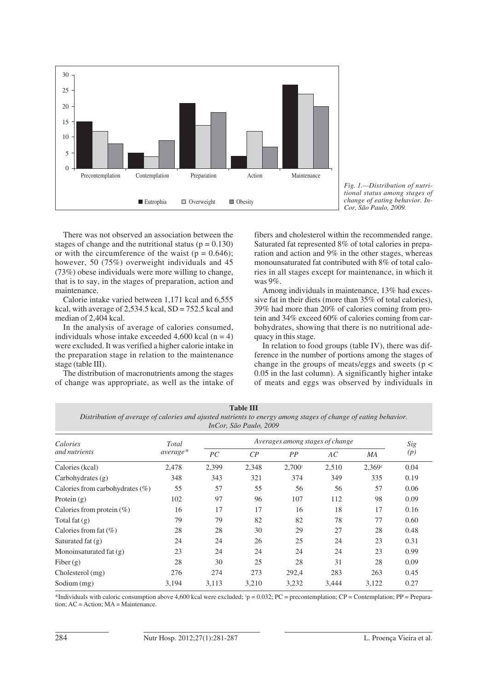



There was not observed an association between the stages of change and the nutritional status ( $p = 0.130$ ) or with the circumference of the waist ( $p = 0.646$ ); however, 50 (75%) overweight individuals and 45 (73%) obese individuals were more willing to change, that is to say, in the stages of preparation, action and maintenance.

Calorie intake varied between 1,171 kcal and 6,555 kcal, with average of  $2,534.5$  kcal,  $SD = 752.5$  kcal and median of 2,404 kcal.

In the analysis of average of calories consumed, individuals whose intake exceeded 4,600 kcal ( $n = 4$ ) were excluded. It was verified a higher calorie intake in the preparation stage in relation to the maintenance stage (table III).

The distribution of macronutrients among the stages of change was appropriate, as well as the intake of fibers and cholesterol within the recommended range. Saturated fat represented 8% of total calories in preparation and action and 9% in the other stages, whereas monounsaturated fat contributed with 8% of total calories in all stages except for maintenance, in which it was 9%.

Among individuals in maintenance, 13% had excessive fat in their diets (more than 35% of total calories), 39% had more than 20% of calories coming from protein and 34% exceed 60% of calories coming from carbohydrates, showing that there is no nutritional adequacy in this stage.

In relation to food groups (table IV), there was difference in the number of portions among the stages of change in the groups of meats/eggs and sweets ( $p <$ 0.05 in the last column). A significantly higher intake of meats and eggs was observed by individuals in

**Table III** *Distribution of average of calories and ajusted nutrients to energy among stages of change of eating behavior. InCor, São Paulo, 2009*

| Calories<br>and nutrients          | Total<br>$average*$ |       | Sig            |          |       |           |      |
|------------------------------------|---------------------|-------|----------------|----------|-------|-----------|------|
|                                    |                     | PC    | $\mathcal{C}P$ | PP       | AC    | <b>MA</b> | (p)  |
| Calories (kcal)                    | 2,478               | 2,399 | 2,348          | $2,700*$ | 2,510 | 2,369     | 0.04 |
| Carbohydrates $(g)$                | 348                 | 343   | 321            | 374      | 349   | 335       | 0.19 |
| Calories from carbohydrates $(\%)$ | 55                  | 57    | 55             | 56       | 56    | 57        | 0.06 |
| Protein $(g)$                      | 102                 | 97    | 96             | 107      | 112   | 98        | 0.09 |
| Calories from protein $(\%)$       | 16                  | 17    | 17             | 16       | 18    | 17        | 0.16 |
| Total fat $(g)$                    | 79                  | 79    | 82             | 82       | 78    | 77        | 0.60 |
| Calories from fat $(\% )$          | 28                  | 28    | 30             | 29       | 27    | 28        | 0.48 |
| Saturated fat $(g)$                | 24                  | 24    | 26             | 25       | 24    | 23        | 0.31 |
| Monoinsaturated fat (g)            | 23                  | 24    | 24             | 24       | 24    | 23        | 0.99 |
| Fiber $(g)$                        | 28                  | 30    | 25             | 28       | 31    | 28        | 0.09 |
| $Cholesterol$ (mg)                 | 276                 | 274   | 273            | 292,4    | 283   | 263       | 0.45 |
| Sodium (mg)                        | 3.194               | 3.113 | 3,210          | 3,232    | 3,444 | 3,122     | 0.27 |

\*Individuals with caloric consumption above 4,600 kcal were excluded;  $\dot{p} = 0.032$ ; PC = precontemplation; CP = Contemplation; PP = Preparation; AC = Action; MA = Maintenance.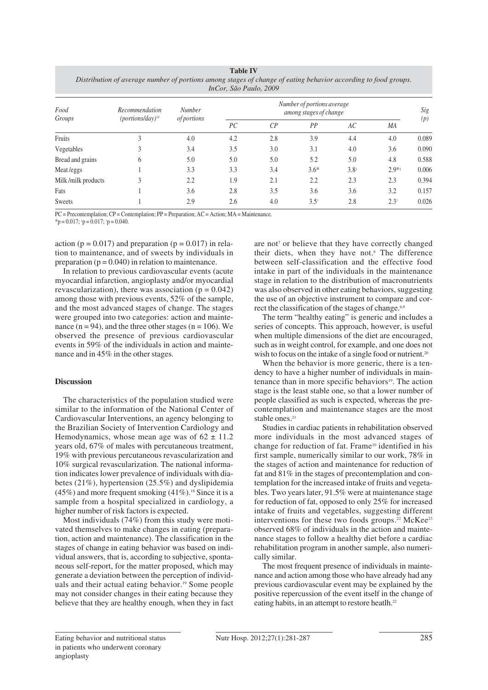| <b>Table IV</b>                                                                                                |
|----------------------------------------------------------------------------------------------------------------|
| Distribution of average number of portions among stages of change of eating behavior according to food groups. |
| InCor, São Paulo, 2009                                                                                         |

| Food<br>Groups     | Recommendation<br>$(portions/day)^{14}$ | <b>Number</b><br><i>of portions</i> | Number of portions average<br>among stages of change |                |                 |               |                 | Sig   |
|--------------------|-----------------------------------------|-------------------------------------|------------------------------------------------------|----------------|-----------------|---------------|-----------------|-------|
|                    |                                         |                                     | PC                                                   | $\mathcal{C}P$ | PP              | AC            | MA              | (p)   |
| Fruits             | 3                                       | 4.0                                 | 4.2                                                  | 2.8            | 3.9             | 4.4           | 4.0             | 0.089 |
| Vegetables         |                                         | 3.4                                 | 3.5                                                  | 3.0            | 3.1             | 4.0           | 3.6             | 0.090 |
| Bread and grains   | 6                                       | 5.0                                 | 5.0                                                  | 5.0            | 5.2             | 5.0           | 4.8             | 0.588 |
| Meat/eggs          |                                         | 3.3                                 | 3.3                                                  | 3.4            | $3.6*$          | $3.8^{\circ}$ | $2.9**$         | 0.006 |
| Milk/milk products | 3                                       | 2.2                                 | 1.9                                                  | 2.1            | 2.2             | 2.3           | 2.3             | 0.394 |
| Fats               |                                         | 3.6                                 | 2.8                                                  | 3.5            | 3.6             | 3.6           | 3.2             | 0.157 |
| <b>Sweets</b>      |                                         | 2.9                                 | 2.6                                                  | 4.0            | $3.5^{\dagger}$ | 2.8           | $2.3^{\dagger}$ | 0.026 |

PC = Precontemplation; CP = Contemplation; PP = Preparation; AC = Action; MA = Maintenance.

 $*$ p = 0.017;  $*$ p = 0.017;  $*$ p = 0.040.

action ( $p = 0.017$ ) and preparation ( $p = 0.017$ ) in relation to maintenance, and of sweets by individuals in preparation ( $p = 0.040$ ) in relation to maintenance.

In relation to previous cardiovascular events (acute myocardial infarction, angioplasty and/or myocardial revascularization), there was association ( $p = 0.042$ ) among those with previous events, 52% of the sample, and the most advanced stages of change. The stages were grouped into two categories: action and maintenance  $(n = 94)$ , and the three other stages  $(n = 106)$ . We observed the presence of previous cardiovascular events in 59% of the individuals in action and maintenance and in 45% in the other stages.

# **Discussion**

The characteristics of the population studied were similar to the information of the National Center of Cardiovascular Interventions, an agency belonging to the Brazilian Society of Intervention Cardiology and Hemodynamics, whose mean age was of  $62 \pm 11.2$ years old, 67% of males with percutaneous treatment, 19% with previous percutaneous revascularization and 10% surgical revascularization. The national information indicates lower prevalence of individuals with diabetes (21%), hypertension (25.5%) and dyslipidemia  $(45\%)$  and more frequent smoking  $(41\%)$ .<sup>18</sup> Since it is a sample from a hospital specialized in cardiology, a higher number of risk factors is expected.

Most individuals (74%) from this study were motivated themselves to make changes in eating (preparation, action and maintenance). The classification in the stages of change in eating behavior was based on individual answers, that is, according to subjective, spontaneous self-report, for the matter proposed, which may generate a deviation between the perception of individuals and their actual eating behavior.19 Some people may not consider changes in their eating because they believe that they are healthy enough, when they in fact are not<sup>7</sup> or believe that they have correctly changed their diets, when they have not.<sup>8</sup> The difference between self-classification and the effective food intake in part of the individuals in the maintenance stage in relation to the distribution of macronutrients was also observed in other eating behaviors, suggesting the use of an objective instrument to compare and correct the classification of the stages of change.<sup>6,9</sup>

The term "healthy eating" is generic and includes a series of concepts. This approach, however, is useful when multiple dimensions of the diet are encouraged, such as in weight control, for example, and one does not wish to focus on the intake of a single food or nutrient.<sup>20</sup>

When the behavior is more generic, there is a tendency to have a higher number of individuals in maintenance than in more specific behaviors<sup>19</sup>. The action stage is the least stable one, so that a lower number of people classified as such is expected, whereas the precontemplation and maintenance stages are the most stable ones.<sup>21</sup>

Studies in cardiac patients in rehabilitation observed more individuals in the most advanced stages of change for reduction of fat. Frame10 identified in his first sample, numerically similar to our work, 78% in the stages of action and maintenance for reduction of fat and 81% in the stages of precontemplation and contemplation for the increased intake of fruits and vegetables. Two years later, 91.5% were at maintenance stage for reduction of fat, opposed to only 25% for increased intake of fruits and vegetables, suggesting different interventions for these two foods groups.<sup>22</sup> McKee<sup>23</sup> observed 68% of individuals in the action and maintenance stages to follow a healthy diet before a cardiac rehabilitation program in another sample, also numerically similar.

The most frequent presence of individuals in maintenance and action among those who have already had any previous cardiovascular event may be explained by the positive repercussion of the event itself in the change of eating habits, in an attempt to restore heatlh.<sup>22</sup>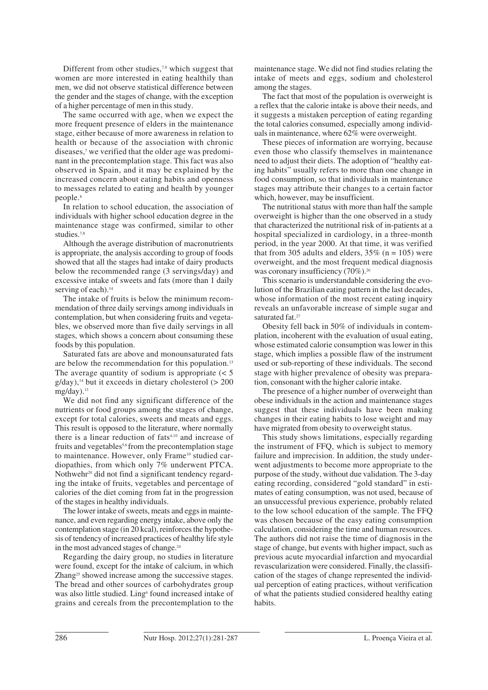Different from other studies, $7,8$  which suggest that women are more interested in eating healthily than men, we did not observe statistical difference between the gender and the stages of change, with the exception of a higher percentage of men in this study.

The same occurred with age, when we expect the more frequent presence of elders in the maintenance stage, either because of more awareness in relation to health or because of the association with chronic diseases,<sup>7</sup> we verified that the older age was predominant in the precontemplation stage. This fact was also observed in Spain, and it may be explained by the increased concern about eating habits and openness to messages related to eating and health by younger people.8

In relation to school education, the association of individuals with higher school education degree in the maintenance stage was confirmed, similar to other studies.7,8

Although the average distribution of macronutrients is appropriate, the analysis according to group of foods showed that all the stages had intake of dairy products below the recommended range (3 servings/day) and excessive intake of sweets and fats (more than 1 daily serving of each).<sup>14</sup>

The intake of fruits is below the minimum recommendation of three daily servings among individuals in contemplation, but when considering fruits and vegetables, we observed more than five daily servings in all stages, which shows a concern about consuming these foods by this population.

Saturated fats are above and monounsaturated fats are below the recommendation for this population.13 The average quantity of sodium is appropriate  $\leq 5$  $g/day$ ),<sup>14</sup> but it exceeds in dietary cholesterol ( $> 200$  $mg/day)$ <sup>13</sup>

We did not find any significant difference of the nutrients or food groups among the stages of change, except for total calories, sweets and meats and eggs. This result is opposed to the literature, where normally there is a linear reduction of fats<sup>4,10</sup> and increase of fruits and vegetables<sup>5,6</sup> from the precontemplation stage to maintenance. However, only Frame<sup>10</sup> studied cardiopathies, from which only 7% underwent PTCA. Nothwehr<sup>20</sup> did not find a significant tendency regarding the intake of fruits, vegetables and percentage of calories of the diet coming from fat in the progression of the stages in healthy individuals.

The lower intake of sweets, meats and eggs in maintenance, and even regarding energy intake, above only the contemplation stage (in 20 kcal), reinforces the hypothesis of tendency of increased practices of healthy life style in the most advanced stages of change.<sup>24</sup>

Regarding the dairy group, no studies in literature were found, except for the intake of calcium, in which Zhang<sup>25</sup> showed increase among the successive stages. The bread and other sources of carbohydrates group was also little studied. Ling<sup>6</sup> found increased intake of grains and cereals from the precontemplation to the maintenance stage. We did not find studies relating the intake of meets and eggs, sodium and cholesterol among the stages.

The fact that most of the population is overweight is a reflex that the calorie intake is above their needs, and it suggests a mistaken perception of eating regarding the total calories consumed, especially among individuals in maintenance, where 62% were overweight.

These pieces of information are worrying, because even those who classify themselves in maintenance need to adjust their diets. The adoption of "healthy eating habits" usually refers to more than one change in food consumption, so that individuals in maintenance stages may attribute their changes to a certain factor which, however, may be insufficient.

The nutritional status with more than half the sample overweight is higher than the one observed in a study that characterized the nutritional risk of in-patients at a hospital specialized in cardiology, in a three-month period, in the year 2000. At that time, it was verified that from 305 adults and elders,  $35\%$  (n = 105) were overweight, and the most frequent medical diagnosis was coronary insufficiency (70%).<sup>26</sup>

This scenario is understandable considering the evolution of the Brazilian eating pattern in the last decades, whose information of the most recent eating inquiry reveals an unfavorable increase of simple sugar and saturated fat.<sup>27</sup>

Obesity fell back in 50% of individuals in contemplation, incoherent with the evaluation of usual eating, whose estimated calorie consumption was lower in this stage, which implies a possible flaw of the instrument used or sub-reporting of these individuals. The second stage with higher prevalence of obesity was preparation, consonant with the higher calorie intake.

The presence of a higher number of overweight than obese individuals in the action and maintenance stages suggest that these individuals have been making changes in their eating habits to lose weight and may have migrated from obesity to overweight status.

This study shows limitations, especially regarding the instrument of FFQ, which is subject to memory failure and imprecision. In addition, the study underwent adjustments to become more appropriate to the purpose of the study, without due validation. The 3-day eating recording, considered "gold standard" in estimates of eating consumption, was not used, because of an unsuccessful previous experience, probably related to the low school education of the sample. The FFQ was chosen because of the easy eating consumption calculation, considering the time and human resources. The authors did not raise the time of diagnosis in the stage of change, but events with higher impact, such as previous acute myocardial infarction and myocardial revascularization were considered. Finally, the classification of the stages of change represented the individual perception of eating practices, without verification of what the patients studied considered healthy eating habits.